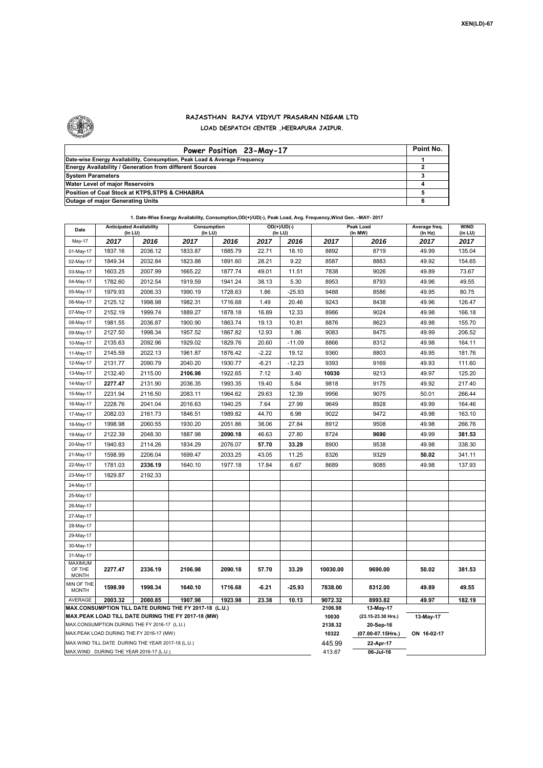

## **RAJASTHAN RAJYA VIDYUT PRASARAN NIGAM LTD LOAD DESPATCH CENTER ,HEERAPURA JAIPUR.**

| Power Position 23-May-17                                                  | Point No. |
|---------------------------------------------------------------------------|-----------|
| Date-wise Energy Availability, Consumption, Peak Load & Average Frequency |           |
| Energy Availability / Generation from different Sources                   |           |
| <b>System Parameters</b>                                                  |           |
| Water Level of major Reservoirs                                           |           |
| Position of Coal Stock at KTPS, STPS & CHHABRA                            |           |
| <b>Outage of major Generating Units</b>                                   |           |

|  | 1. Date-Wise Energy Availability, Consumption,OD(+)/UD(-), Peak Load, Avg. Frequency, Wind Gen. -MAY- 2017 |  |
|--|------------------------------------------------------------------------------------------------------------|--|
|--|------------------------------------------------------------------------------------------------------------|--|

| Date                                                                                               | <b>Anticipated Availability</b><br>(In LU)             |         | Consumption<br>(In LU) |         |         | $OD(+)/UD(-)$<br>(In LU) |                                 | Peak Load<br>(In MW) |                 | <b>WIND</b><br>(in LU) |
|----------------------------------------------------------------------------------------------------|--------------------------------------------------------|---------|------------------------|---------|---------|--------------------------|---------------------------------|----------------------|-----------------|------------------------|
| May-17                                                                                             | 2017                                                   | 2016    | 2017                   | 2016    | 2017    | 2016                     | 2017                            | 2016                 | (ln Hz)<br>2017 | 2017                   |
| 01-May-17                                                                                          | 1837.16                                                | 2036.12 | 1833.87                | 1885.79 | 22.71   | 18.10                    | 8892                            | 8719                 | 49.99           | 135.04                 |
| 02-May-17                                                                                          | 1849.34                                                | 2032.84 | 1823.88                | 1891.60 | 28.21   | 9.22                     | 8587                            | 8883                 | 49.92           | 154.65                 |
| 03-May-17                                                                                          | 1603.25                                                | 2007.99 | 1665.22                | 1877.74 | 49.01   | 11.51                    | 7838                            | 9026                 | 49.89           | 73.67                  |
| 04-May-17                                                                                          | 1782.60                                                | 2012.54 | 1919.59                | 1941.24 | 38.13   | 5.30                     | 8953                            | 8793                 | 49.96           | 49.55                  |
| 05-May-17                                                                                          | 1979.93                                                | 2006.33 | 1990.19                | 1728.63 | 1.86    | $-25.93$                 | 9488                            | 8586                 | 49.95           | 80.75                  |
| 06-May-17                                                                                          | 2125.12                                                | 1998.98 | 1982.31                | 1716.68 | 1.49    | 20.46                    | 9243                            | 8438                 | 49.96           | 126.47                 |
| 07-May-17                                                                                          | 2152.19                                                | 1999.74 | 1889.27                | 1878.18 | 16.89   | 12.33                    | 8986                            | 9024                 | 49.98           | 166.18                 |
| 08-May-17                                                                                          | 1981.55                                                | 2036.87 | 1900.90                | 1863.74 | 19.13   | 10.81                    | 8876                            | 8623                 | 49.98           | 155.70                 |
| 09-May-17                                                                                          | 2127.50                                                | 1998.34 | 1957.52                | 1867.82 | 12.93   | 1.86                     | 9083                            | 8475                 | 49.99           | 206.52                 |
| 10-May-17                                                                                          | 2135.63                                                | 2092.96 | 1929.02                | 1829.76 | 20.60   | $-11.09$                 | 8866                            | 8312                 | 49.98           | 164.11                 |
| 11-May-17                                                                                          | 2145.59                                                | 2022.13 | 1961.87                | 1876.42 | $-2.22$ | 19.12                    | 9360                            | 8803                 | 49.95           | 181.76                 |
| 12-May-17                                                                                          | 2131.77                                                | 2090.79 | 2040.20                | 1930.77 | $-6.21$ | $-12.23$                 | 9393                            | 9169                 | 49.93           | 111.60                 |
| 13-May-17                                                                                          | 2132.40                                                | 2115.00 | 2106.98                | 1922.65 | 7.12    | 3.40                     | 10030                           | 9213                 | 49.97           | 125.20                 |
| 14-May-17                                                                                          | 2277.47                                                | 2131.90 | 2036.35                | 1993.35 | 19.40   | 5.84                     | 9818                            | 9175                 | 49.92           | 217.40                 |
| 15-May-17                                                                                          | 2231.94                                                | 2116.50 | 2083.11                | 1964.62 | 29.63   | 12.39                    | 9956                            | 9075                 | 50.01           | 266.44                 |
| 16-May-17                                                                                          | 2228.76                                                | 2041.04 | 2016.63                | 1940.25 | 7.64    | 27.99                    | 9649                            | 8928                 | 49.99           | 164.46                 |
| 17-May-17                                                                                          | 2082.03                                                | 2161.73 | 1846.51                | 1989.82 | 44.70   | 6.98                     | 9022                            | 9472                 | 49.98           | 163.10                 |
| 18-May-17                                                                                          | 1998.98                                                | 2060.55 | 1930.20                | 2051.86 | 38.06   | 27.84                    | 8912                            | 9508                 | 49.98           | 266.76                 |
| 19-May-17                                                                                          | 2122.39                                                | 2048.30 | 1887.98                | 2090.18 | 46.63   | 27.80                    | 8724                            | 9690                 | 49.99           | 381.53                 |
| 20-May-17                                                                                          | 1940.83                                                | 2114.26 | 1834.29                | 2076.07 | 57.70   | 33.29                    | 8900                            | 9538                 | 49.98           | 338.30                 |
| 21-May-17                                                                                          | 1598.99                                                | 2206.04 | 1699.47                | 2033.25 | 43.05   | 11.25                    | 8326                            | 9329                 | 50.02           | 341.11                 |
| 22-May-17                                                                                          | 1781.03                                                | 2336.19 | 1640.10                | 1977.18 | 17.84   | 6.67                     | 8689                            | 9085                 | 49.98           | 137.93                 |
| 23-May-17                                                                                          | 1829.87                                                | 2192.33 |                        |         |         |                          |                                 |                      |                 |                        |
| 24-May-17                                                                                          |                                                        |         |                        |         |         |                          |                                 |                      |                 |                        |
| 25-May-17                                                                                          |                                                        |         |                        |         |         |                          |                                 |                      |                 |                        |
| 26-May-17                                                                                          |                                                        |         |                        |         |         |                          |                                 |                      |                 |                        |
| 27-May-17                                                                                          |                                                        |         |                        |         |         |                          |                                 |                      |                 |                        |
| 28-May-17                                                                                          |                                                        |         |                        |         |         |                          |                                 |                      |                 |                        |
| 29-May-17                                                                                          |                                                        |         |                        |         |         |                          |                                 |                      |                 |                        |
| 30-May-17                                                                                          |                                                        |         |                        |         |         |                          |                                 |                      |                 |                        |
| 31-May-17                                                                                          |                                                        |         |                        |         |         |                          |                                 |                      |                 |                        |
| <b>MAXIMUM</b><br>OF THE<br><b>MONTH</b>                                                           | 2277.47                                                | 2336.19 | 2106.98                | 2090.18 | 57.70   | 33.29                    | 10030.00                        | 9690.00              | 50.02           | 381.53                 |
| MIN OF THE<br><b>MONTH</b>                                                                         | 1598.99                                                | 1998.34 | 1640.10                | 1716.68 | $-6.21$ | $-25.93$                 | 7838.00                         | 8312.00              | 49.89           | 49.55                  |
| AVERAGE                                                                                            | 2003.32                                                | 2080.85 | 1907.98                | 1923.98 | 23.38   | 10.13                    | 9072.32                         | 8993.82              | 49.97           | 182.19                 |
|                                                                                                    | MAX.CONSUMPTION TILL DATE DURING THE FY 2017-18 (L.U.) |         |                        |         |         |                          | 2106.98                         | 13-May-17            |                 |                        |
| MAX.PEAK LOAD TILL DATE DURING THE FY 2017-18 (MW)<br>MAX.CONSUMPTION DURING THE FY 2016-17 (L.U.) |                                                        |         |                        |         |         | 10030<br>2138.32         | (23.15-23.30 Hrs.)<br>20-Sep-16 | 13-May-17            |                 |                        |
| MAX.PEAK LOAD DURING THE FY 2016-17 (MW)                                                           |                                                        |         |                        |         |         | 10322                    | (07.00-07.15Hrs.)               | ON 16-02-17          |                 |                        |
| MAX.WIND TILL DATE DURING THE YEAR 2017-18 (L.U.)                                                  |                                                        |         |                        |         |         | 445.99                   | 22-Apr-17                       |                      |                 |                        |
| MAX.WIND DURING THE YEAR 2016-17 (L.U.)                                                            |                                                        |         |                        |         |         |                          | 413.67                          | 06-Jul-16            |                 |                        |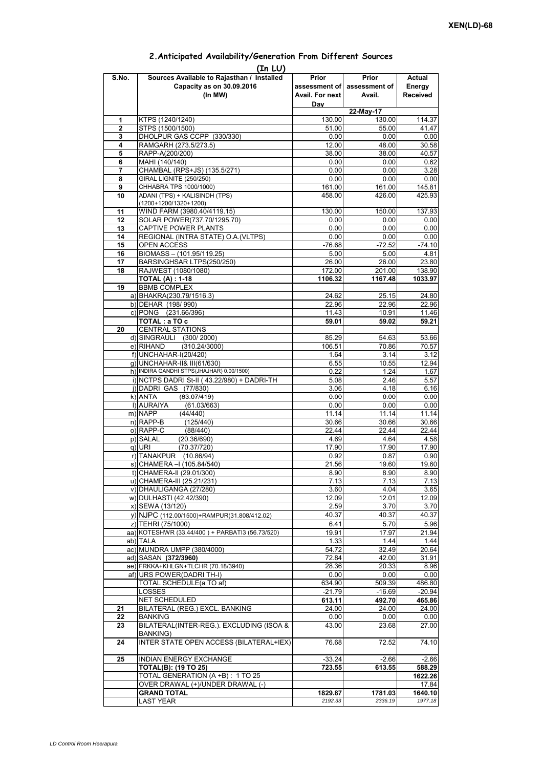## **Prior assessment of Avail. For next Day Prior assessment of Avail. Actual Energy Received 1** KTPS (1240/1240) 130.00 130.00 114.37 **2** STPS (1500/1500)<br> **2** STPS (1500/1500)<br> **3** DHOI PUR GAS CCPP (330/330)<br> **10.00** 0.00 0.00 0.00 **3** DHOLPUR GAS CCPP (330/330) **4** RAMGARH (273.5/273.5) 12.00 48.00 30.58<br> **5** RAPP-A(200/200) 130.58 **5** RAPP-A(200/200) **38.00** 38.00 **6** MAHI (140/140) **38.00 6** MAHI(140/140) 0.00 0.62 **7** CHAMBAL (RPS+JS) (135.5/271) 0.00 0.00 0.00 3.28 **8** GIRAL LIGNITE (250/250) 0.00 0.00 0.00 0.00<br> **9** CHHABRA TPS 1000/1000) 161.00 161.00 145.81 **9** CHHABRA TPS 1000/1000) **10** ADANI (TPS) + KALISINDH (TPS) (1200+1200/1320+1200) 458.00 426.00 425.93 **11** WIND FARM (3980.40/4119.15) 130.00 150.00 137.93 12 SOLAR POWER(737.70/1295.70) 0.00 0.00 0.00 0.00 **13** CAPTIVE POWER PLANTS 0.00 0.00 0.00 0.00 **14** REGIONAL (INTRA STATE) O.A.(VLTPS) 0.00 0.00 0.00 0.00 0.00 15 OPEN ACCESS -76.68 -72.52 -74.10<br>16 BIOMASS – (101.95/119.25) -78.00 - 5.00 - 5.00 - 4.81 **BIOMASS – (101.95/119.25)** 17 BARSINGHSAR LTPS(250/250) 26.00 26.00 23.80 **18** RAJWEST (1080/1080) 172.00 172.00 201.00 138.90 **TOTAL (A) : 1-18 1106.32 1167.48 1033.97 19** BBMB COMPLEX a) BHAKRA(230.79/1516.3) 24.62 25.15 24.80<br>b) DEHAR (198/990) 22.96 22.96 22.96 22.96 b) DEHAR (198/ 990) c) PONG (231.66/396) 11.43 10.91 11.46 **TOTAL : a TO c** 59.01 59.01 59.02 59.21 **20** CENTRAL STATIONS d) SINGRAULI (300/2000) 86.29 54.63 53.66<br>e) RIHAND (310.24/3000) 85.29 54.63 53.66  $(310.24/3000)$ f) UNCHAHAR-I(20/420)<br>f) UNCHAHAR-I(20/420) 1.64 3.14 3.12<br>g) UNCHAHAR-II& III(61/630) 6.55 10.55 12.94 g) UNCHAHAR-II& III(61/630) 6.55 10.55 h) INDIRA GANDHI STPS(JHAJHAR) 0.00/1500) 0.22 1.24 1.67 i) NCTPS DADRI St-II ( 43.22/980) + DADRI-TH 5.08 2.46 5.57 j) DADRI GAS (77/830) 3.06 4.18 6.16 k) ANTA (83 07/419) 0 00 0 00 0 00 **(In LU) S.No. Sources Available to Rajasthan / Installed Capacity as on 30.09.2016 (In MW) 22-May-17** ANTA (83.07/419)0.000.000.00l) AURAIYA (61.03/663) 0.00 0.00 0.00 m) NAPP (44/440) 11.14 11.14 11.14 n) RAPP-B (125/440) 30.66 30.66 30.66 30.66 o) RAPP-C (88/440) 22.44 22.44 22.44 p) SALAL (20.36/690) 4.69 4.64 4.58<br>q) URI (70.37/720) 4.7.90 17.90 17.90 q) URI (70.37/720) 17.90 17.90 17.90 r) TANAKPUR (10.86/94) 0.92 0.87 0.90<br>s) CHAMERA –I (105.84/540) 21.56 19.60 19.60  $\overline{s}$ ) CHAMERA –I (105.84/540) t) CHAMERA-II (29.01/300) 8.90 8.90 8.90 8.90 u) CHAMERA-III (25.21/231) 7.13 7.13 7.13 v) DHAULIGANGA (27/280)  $\begin{array}{|c|c|c|c|c|c|c|c|} \hline \rule{0.2cm}{0.2cm} & \multicolumn{3.6}{0.2cm} & \multicolumn{3.6}{0.2cm} & \multicolumn{3.6}{0.2cm} & \multicolumn{3.6}{0.2cm} & \multicolumn{3.6}{0.2cm} & \multicolumn{3.6}{0.2cm} & \multicolumn{3.6}{0.2cm} & \multicolumn{3.6}{0.2cm} & \multicolumn{3.6}{0.2cm} & \multicolumn{3.6}{0.2cm} & \multicolumn{3.$ w) DULHASTI (42.42/390) 12.09 12.09 12.01 12.09 x) SEWA (13/120) 2.59 3.70 3.70 3.70<br>v) NJPC (112.00/1500) + RAMPUR(31.808/412.02) 40.37 40.37 40.37 40.37 y) NJPC (112.00/1500)+RAMPUR(31.808/412.02) z) TEHRI (75/1000) 6.41 5.70 5.96<br>a) KOTESHWR (33.44/400 ) + PARBATI3 (56.73/520) 4 19.91 17.97 17.97 21.94 aa) KOTESHWR (33.44/400) + PARBATI3 (56.73/520) ab) TALA 1.33 1.44 1.44 ac) MUNDRA UMPP (380/4000) 64.72 32.49 32.49 20.64 ad) SASAN **(372/3960)** 72.84 42.00 31.91<br>ae) FRKKA+KHLGN+TLCHR (70.18/3940) 28.36 20.33 8.96 ae) FRKKA+KHLGN+TLCHR (70.18/3940) af) URS POWER(DADRI TH-I) 0.00 0.00 0.00 TOTAL SCHEDULE(a TO af) 634.90 509.39 486.80 LOSSES -21.79 -16.69 -20.94 NET SCHEDULED **613.11 492.70 465.86 21** BILATERAL (REG.) EXCL. BANKING 24.00 24.00 24.00 **22** BANKING 0.00 0.00 0.00 **23** BILATERAL(INTER-REG.). EXCLUDING (ISOA & BANKING) 43.00 23.68 27.00 **24** INTER STATE OPEN ACCESS (BILATERAL+IEX) 76.68 72.52 74.10 25 INDIAN ENERGY EXCHANGE -33.24 -2.66 -2.66 -2.66<br> **12.66 TOTAL(B): (19 TO 25) TOTAL(B): (19 TO 25) 723.55 613.55 588.29** TOTAL GENERATION (A +B) : 1 TO 25 **1622.26**<br>
OVER DRAWAL (+)/UNDER DRAWAL (-) 17.84 OVER DRAWAL (+)/UNDER DRAWAL (-) **GRAND TOTAL 1829.87** 1829.87 1781.03 1640.10 LAST YEAR *2192.33 2336.19 1977.18*

## **2.Anticipated Availability/Generation From Different Sources**